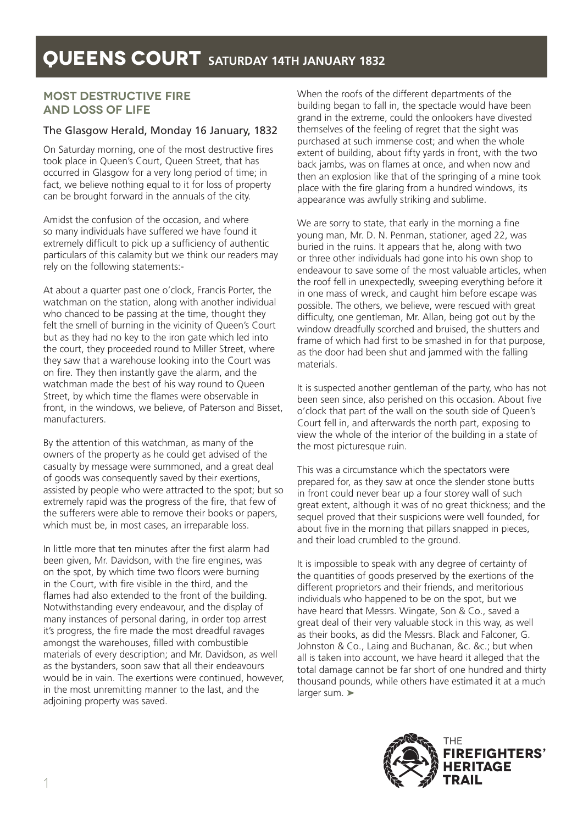## **MOST DESTRUCTIVE FIRE AND LOSS OF LIFE**

### The Glasgow Herald, Monday 16 January, 1832

On Saturday morning, one of the most destructive fires took place in Queen's Court, Queen Street, that has occurred in Glasgow for a very long period of time; in fact, we believe nothing equal to it for loss of property can be brought forward in the annuals of the city.

Amidst the confusion of the occasion, and where so many individuals have suffered we have found it extremely difficult to pick up a sufficiency of authentic particulars of this calamity but we think our readers may rely on the following statements:-

At about a quarter past one o'clock, Francis Porter, the watchman on the station, along with another individual who chanced to be passing at the time, thought they felt the smell of burning in the vicinity of Queen's Court but as they had no key to the iron gate which led into the court, they proceeded round to Miller Street, where they saw that a warehouse looking into the Court was on fire. They then instantly gave the alarm, and the watchman made the best of his way round to Queen Street, by which time the flames were observable in front, in the windows, we believe, of Paterson and Bisset, manufacturers.

By the attention of this watchman, as many of the owners of the property as he could get advised of the casualty by message were summoned, and a great deal of goods was consequently saved by their exertions, assisted by people who were attracted to the spot; but so extremely rapid was the progress of the fire, that few of the sufferers were able to remove their books or papers, which must be, in most cases, an irreparable loss.

In little more that ten minutes after the first alarm had been given, Mr. Davidson, with the fire engines, was on the spot, by which time two floors were burning in the Court, with fire visible in the third, and the flames had also extended to the front of the building. Notwithstanding every endeavour, and the display of many instances of personal daring, in order top arrest it's progress, the fire made the most dreadful ravages amongst the warehouses, filled with combustible materials of every description; and Mr. Davidson, as well as the bystanders, soon saw that all their endeavours would be in vain. The exertions were continued, however, in the most unremitting manner to the last, and the adjoining property was saved.

When the roofs of the different departments of the building began to fall in, the spectacle would have been grand in the extreme, could the onlookers have divested themselves of the feeling of regret that the sight was purchased at such immense cost; and when the whole extent of building, about fifty yards in front, with the two back jambs, was on flames at once, and when now and then an explosion like that of the springing of a mine took place with the fire glaring from a hundred windows, its appearance was awfully striking and sublime.

We are sorry to state, that early in the morning a fine young man, Mr. D. N. Penman, stationer, aged 22, was buried in the ruins. It appears that he, along with two or three other individuals had gone into his own shop to endeavour to save some of the most valuable articles, when the roof fell in unexpectedly, sweeping everything before it in one mass of wreck, and caught him before escape was possible. The others, we believe, were rescued with great difficulty, one gentleman, Mr. Allan, being got out by the window dreadfully scorched and bruised, the shutters and frame of which had first to be smashed in for that purpose, as the door had been shut and jammed with the falling materials.

It is suspected another gentleman of the party, who has not been seen since, also perished on this occasion. About five o'clock that part of the wall on the south side of Queen's Court fell in, and afterwards the north part, exposing to view the whole of the interior of the building in a state of the most picturesque ruin.

This was a circumstance which the spectators were prepared for, as they saw at once the slender stone butts in front could never bear up a four storey wall of such great extent, although it was of no great thickness; and the sequel proved that their suspicions were well founded, for about five in the morning that pillars snapped in pieces, and their load crumbled to the ground.

It is impossible to speak with any degree of certainty of the quantities of goods preserved by the exertions of the different proprietors and their friends, and meritorious individuals who happened to be on the spot, but we have heard that Messrs. Wingate, Son & Co., saved a great deal of their very valuable stock in this way, as well as their books, as did the Messrs. Black and Falconer, G. Johnston & Co., Laing and Buchanan, &c. &c.; but when all is taken into account, we have heard it alleged that the total damage cannot be far short of one hundred and thirty thousand pounds, while others have estimated it at a much larger sum. ➤

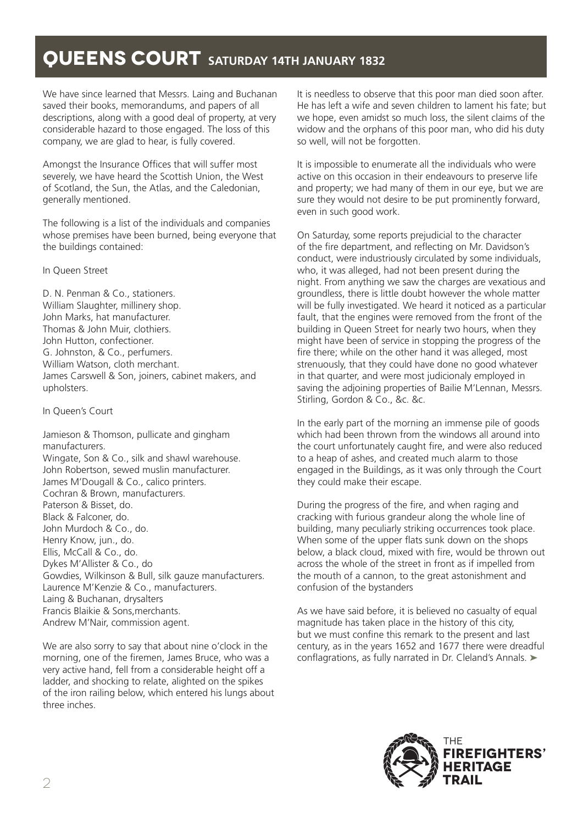# **QUEENS COURT** SATURDAY 14TH JANUARY 1832

We have since learned that Messrs. Laing and Buchanan saved their books, memorandums, and papers of all descriptions, along with a good deal of property, at very considerable hazard to those engaged. The loss of this company, we are glad to hear, is fully covered.

Amongst the Insurance Offices that will suffer most severely, we have heard the Scottish Union, the West of Scotland, the Sun, the Atlas, and the Caledonian, generally mentioned.

The following is a list of the individuals and companies whose premises have been burned, being everyone that the buildings contained:

In Queen Street

D. N. Penman & Co., stationers. William Slaughter, millinery shop. John Marks, hat manufacturer. Thomas & John Muir, clothiers. John Hutton, confectioner. G. Johnston, & Co., perfumers. William Watson, cloth merchant. James Carswell & Son, joiners, cabinet makers, and upholsters.

In Queen's Court

Jamieson & Thomson, pullicate and gingham manufacturers. Wingate, Son & Co., silk and shawl warehouse. John Robertson, sewed muslin manufacturer. James M'Dougall & Co., calico printers. Cochran & Brown, manufacturers. Paterson & Bisset, do. Black & Falconer, do. John Murdoch & Co., do. Henry Know, jun., do. Ellis, McCall & Co., do. Dykes M'Allister & Co., do Gowdies, Wilkinson & Bull, silk gauze manufacturers. Laurence M'Kenzie & Co., manufacturers. Laing & Buchanan, drysalters Francis Blaikie & Sons,merchants. Andrew M'Nair, commission agent.

We are also sorry to say that about nine o'clock in the morning, one of the firemen, James Bruce, who was a very active hand, fell from a considerable height off a ladder, and shocking to relate, alighted on the spikes of the iron railing below, which entered his lungs about three inches.

It is needless to observe that this poor man died soon after. He has left a wife and seven children to lament his fate; but we hope, even amidst so much loss, the silent claims of the widow and the orphans of this poor man, who did his duty so well, will not be forgotten.

It is impossible to enumerate all the individuals who were active on this occasion in their endeavours to preserve life and property; we had many of them in our eye, but we are sure they would not desire to be put prominently forward, even in such good work.

On Saturday, some reports prejudicial to the character of the fire department, and reflecting on Mr. Davidson's conduct, were industriously circulated by some individuals, who, it was alleged, had not been present during the night. From anything we saw the charges are vexatious and groundless, there is little doubt however the whole matter will be fully investigated. We heard it noticed as a particular fault, that the engines were removed from the front of the building in Queen Street for nearly two hours, when they might have been of service in stopping the progress of the fire there; while on the other hand it was alleged, most strenuously, that they could have done no good whatever in that quarter, and were most judicionaly employed in saving the adjoining properties of Bailie M'Lennan, Messrs. Stirling, Gordon & Co., &c. &c.

In the early part of the morning an immense pile of goods which had been thrown from the windows all around into the court unfortunately caught fire, and were also reduced to a heap of ashes, and created much alarm to those engaged in the Buildings, as it was only through the Court they could make their escape.

During the progress of the fire, and when raging and cracking with furious grandeur along the whole line of building, many peculiarly striking occurrences took place. When some of the upper flats sunk down on the shops below, a black cloud, mixed with fire, would be thrown out across the whole of the street in front as if impelled from the mouth of a cannon, to the great astonishment and confusion of the bystanders

As we have said before, it is believed no casualty of equal magnitude has taken place in the history of this city, but we must confine this remark to the present and last century, as in the years 1652 and 1677 there were dreadful conflagrations, as fully narrated in Dr. Cleland's Annals. ➤

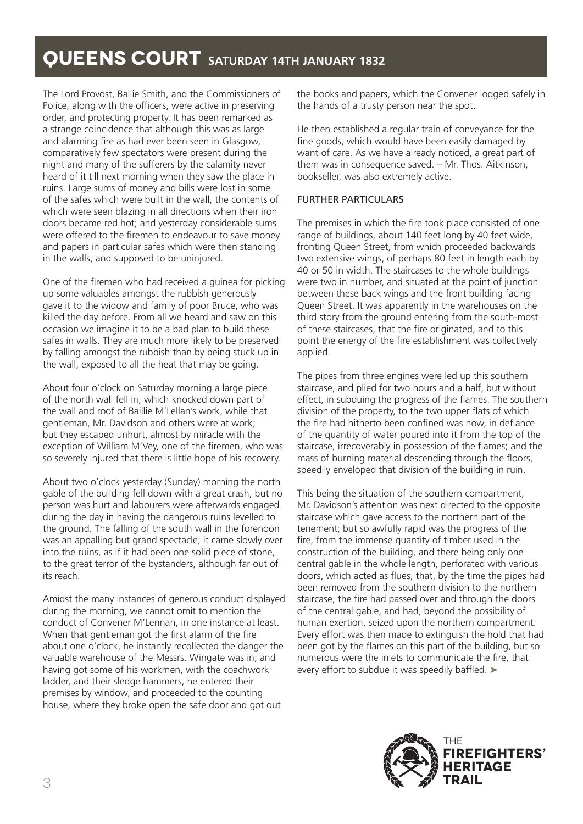# **QUEENS COURT** SATURDAY 14TH JANUARY 1832

The Lord Provost, Bailie Smith, and the Commissioners of Police, along with the officers, were active in preserving order, and protecting property. It has been remarked as a strange coincidence that although this was as large and alarming fire as had ever been seen in Glasgow, comparatively few spectators were present during the night and many of the sufferers by the calamity never heard of it till next morning when they saw the place in ruins. Large sums of money and bills were lost in some of the safes which were built in the wall, the contents of which were seen blazing in all directions when their iron doors became red hot; and yesterday considerable sums were offered to the firemen to endeavour to save money and papers in particular safes which were then standing in the walls, and supposed to be uninjured.

One of the firemen who had received a guinea for picking up some valuables amongst the rubbish generously gave it to the widow and family of poor Bruce, who was killed the day before. From all we heard and saw on this occasion we imagine it to be a bad plan to build these safes in walls. They are much more likely to be preserved by falling amongst the rubbish than by being stuck up in the wall, exposed to all the heat that may be going.

About four o'clock on Saturday morning a large piece of the north wall fell in, which knocked down part of the wall and roof of Baillie M'Lellan's work, while that gentleman, Mr. Davidson and others were at work; but they escaped unhurt, almost by miracle with the exception of William M'Vey, one of the firemen, who was so severely injured that there is little hope of his recovery.

About two o'clock yesterday (Sunday) morning the north gable of the building fell down with a great crash, but no person was hurt and labourers were afterwards engaged during the day in having the dangerous ruins levelled to the ground. The falling of the south wall in the forenoon was an appalling but grand spectacle; it came slowly over into the ruins, as if it had been one solid piece of stone, to the great terror of the bystanders, although far out of its reach.

Amidst the many instances of generous conduct displayed during the morning, we cannot omit to mention the conduct of Convener M'Lennan, in one instance at least. When that gentleman got the first alarm of the fire about one o'clock, he instantly recollected the danger the valuable warehouse of the Messrs. Wingate was in; and having got some of his workmen, with the coachwork ladder, and their sledge hammers, he entered their premises by window, and proceeded to the counting house, where they broke open the safe door and got out

the books and papers, which the Convener lodged safely in the hands of a trusty person near the spot.

He then established a regular train of conveyance for the fine goods, which would have been easily damaged by want of care. As we have already noticed, a great part of them was in consequence saved. – Mr. Thos. Aitkinson, bookseller, was also extremely active.

#### FURTHER PARTICULARS

The premises in which the fire took place consisted of one range of buildings, about 140 feet long by 40 feet wide, fronting Queen Street, from which proceeded backwards two extensive wings, of perhaps 80 feet in length each by 40 or 50 in width. The staircases to the whole buildings were two in number, and situated at the point of junction between these back wings and the front building facing Queen Street. It was apparently in the warehouses on the third story from the ground entering from the south-most of these staircases, that the fire originated, and to this point the energy of the fire establishment was collectively applied.

The pipes from three engines were led up this southern staircase, and plied for two hours and a half, but without effect, in subduing the progress of the flames. The southern division of the property, to the two upper flats of which the fire had hitherto been confined was now, in defiance of the quantity of water poured into it from the top of the staircase, irrecoverably in possession of the flames; and the mass of burning material descending through the floors, speedily enveloped that division of the building in ruin.

This being the situation of the southern compartment, Mr. Davidson's attention was next directed to the opposite staircase which gave access to the northern part of the tenement; but so awfully rapid was the progress of the fire, from the immense quantity of timber used in the construction of the building, and there being only one central gable in the whole length, perforated with various doors, which acted as flues, that, by the time the pipes had been removed from the southern division to the northern staircase, the fire had passed over and through the doors of the central gable, and had, beyond the possibility of human exertion, seized upon the northern compartment. Every effort was then made to extinguish the hold that had been got by the flames on this part of the building, but so numerous were the inlets to communicate the fire, that every effort to subdue it was speedily baffled. ►